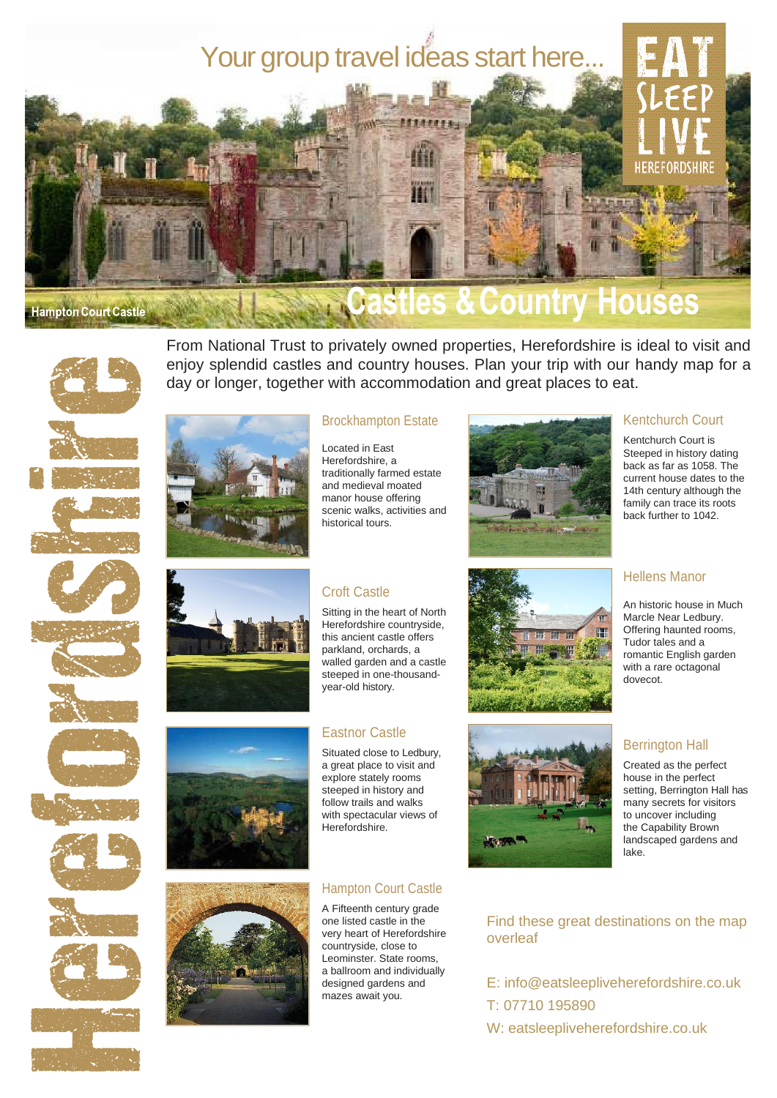

les & Country Houses



From National Trust to privately owned properties, Herefordshire is ideal to visit and enjoy splendid castles and country houses. Plan your trip with our handy map for a day or longer, together with accommodation and great places to eat.





















# Brockhampton Estate

Located in East Herefordshire, a traditionally farmed estate and medieval moated manor house offering scenic walks, activities and historical tours.

# Croft Castle

Sitting in the heart of North Herefordshire countryside, this ancient castle offers parkland, orchards, a walled garden and a castle steeped in one-thousandyear-old history.

## Eastnor Castle

Situated close to Ledbury, a great place to visit and explore stately rooms steeped in history and follow trails and walks with spectacular views of Herefordshire.

# Hampton Court Castle

A Fifteenth century grade one listed castle in the very heart of Herefordshire countryside, close to Leominster. State rooms, a ballroom and individually designed gardens and mazes await you.







# Kentchurch Court

Kentchurch Court is Steeped in history dating back as far as 1058. The current house dates to the 14th century although the family can trace its roots back further to 1042.

## Hellens Manor

An historic house in Much Marcle Near Ledbury. Offering haunted rooms, Tudor tales and a romantic English garden with a rare octagonal dovecot.

# Berrington Hall

Created as the perfect house in the perfect setting, Berrington Hall has many secrets for visitors to uncover including the Capability Brown landscaped gardens and lake.

# Find these great destinations on the map overleaf

E: [info@eatsleepliveherefordshire.co.uk](mailto:info@eatsleepliveherefordshire.co.ukT:) [T:](mailto:info@eatsleepliveherefordshire.co.ukT:) 07710 195890 W: [eatsleepliveherefordshire.co.uk](https://www.eatsleepliveherefordshire.co.uk/)